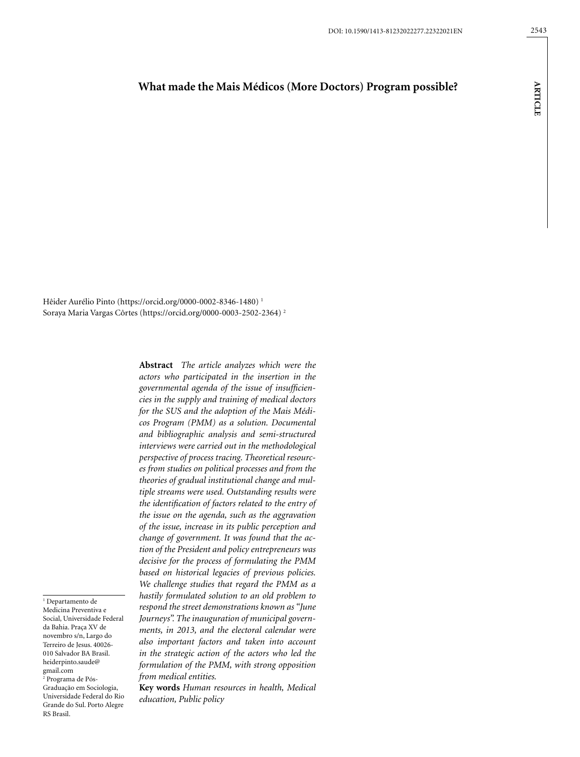# **What made the Mais Médicos (More Doctors) Program possible?**

**ARTICLE**

**ARTICLE** 

Hêider Aurélio Pinto (https://orcid.org/0000-0002-8346-1480) 1 Soraya Maria Vargas Côrtes (https://orcid.org/0000-0003-2502-2364) 2

> **Abstract** *The article analyzes which were the actors who participated in the insertion in the governmental agenda of the issue of insufficiencies in the supply and training of medical doctors for the SUS and the adoption of the Mais Médicos Program (PMM) as a solution. Documental and bibliographic analysis and semi-structured interviews were carried out in the methodological perspective of process tracing. Theoretical resources from studies on political processes and from the theories of gradual institutional change and multiple streams were used. Outstanding results were the identification of factors related to the entry of the issue on the agenda, such as the aggravation of the issue, increase in its public perception and change of government. It was found that the action of the President and policy entrepreneurs was decisive for the process of formulating the PMM based on historical legacies of previous policies. We challenge studies that regard the PMM as a hastily formulated solution to an old problem to respond the street demonstrations known as "June Journeys". The inauguration of municipal governments, in 2013, and the electoral calendar were also important factors and taken into account in the strategic action of the actors who led the formulation of the PMM, with strong opposition from medical entities.*

> **Key words** *Human resources in health, Medical education, Public policy*

1 Departamento de Medicina Preventiva e Social, Universidade Federal da Bahia. Praça XV de novembro s/n, Largo do Terreiro de Jesus. 40026- 010 Salvador BA Brasil. [heiderpinto.saude@](mailto:heiderpinto.saude@gmail.com) [gmail.com](mailto:heiderpinto.saude@gmail.com) 2 Programa de Pós-Graduação em Sociologia, Universidade Federal do Rio Grande do Sul. Porto Alegre RS Brasil.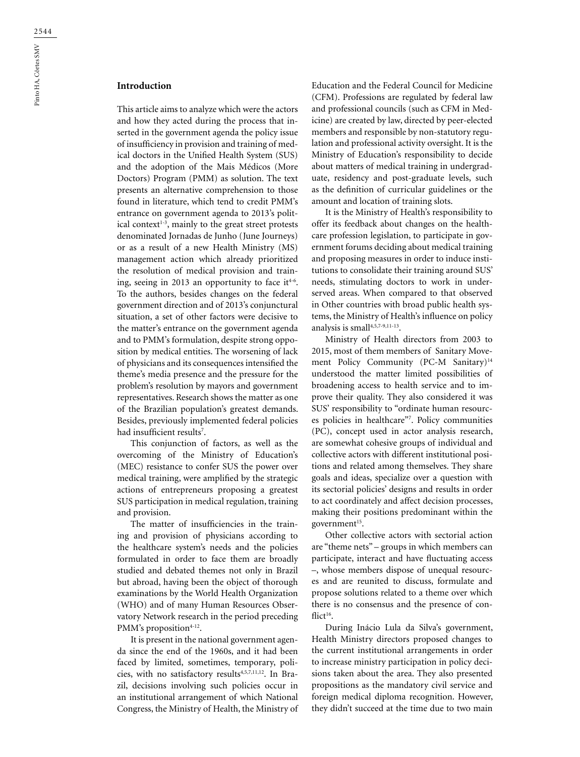# **Introduction**

This article aims to analyze which were the actors and how they acted during the process that inserted in the government agenda the policy issue of insufficiency in provision and training of medical doctors in the Unified Health System (SUS) and the adoption of the Mais Médicos (More Doctors) Program (PMM) as solution. The text presents an alternative comprehension to those found in literature, which tend to credit PMM's entrance on government agenda to 2013's political context $1-3$ , mainly to the great street protests denominated Jornadas de Junho (June Journeys) or as a result of a new Health Ministry (MS) management action which already prioritized the resolution of medical provision and training, seeing in 2013 an opportunity to face it<sup> $4-6$ </sup>. To the authors, besides changes on the federal government direction and of 2013's conjunctural situation, a set of other factors were decisive to the matter's entrance on the government agenda and to PMM's formulation, despite strong opposition by medical entities. The worsening of lack of physicians and its consequences intensified the theme's media presence and the pressure for the problem's resolution by mayors and government representatives. Research shows the matter as one of the Brazilian population's greatest demands. Besides, previously implemented federal policies had insufficient results7 .

This conjunction of factors, as well as the overcoming of the Ministry of Education's (MEC) resistance to confer SUS the power over medical training, were amplified by the strategic actions of entrepreneurs proposing a greatest SUS participation in medical regulation, training and provision.

The matter of insufficiencies in the training and provision of physicians according to the healthcare system's needs and the policies formulated in order to face them are broadly studied and debated themes not only in Brazil but abroad, having been the object of thorough examinations by the World Health Organization (WHO) and of many Human Resources Observatory Network research in the period preceding PMM's proposition $4-12$ .

It is present in the national government agenda since the end of the 1960s, and it had been faced by limited, sometimes, temporary, policies, with no satisfactory results<sup>4,5,7,11,12</sup>. In Brazil, decisions involving such policies occur in an institutional arrangement of which National Congress, the Ministry of Health, the Ministry of Education and the Federal Council for Medicine (CFM). Professions are regulated by federal law and professional councils (such as CFM in Medicine) are created by law, directed by peer-elected members and responsible by non-statutory regulation and professional activity oversight. It is the Ministry of Education's responsibility to decide about matters of medical training in undergraduate, residency and post-graduate levels, such as the definition of curricular guidelines or the amount and location of training slots.

It is the Ministry of Health's responsibility to offer its feedback about changes on the healthcare profession legislation, to participate in government forums deciding about medical training and proposing measures in order to induce institutions to consolidate their training around SUS' needs, stimulating doctors to work in underserved areas. When compared to that observed in Other countries with broad public health systems, the Ministry of Health's influence on policy analysis is small<sup>4,5,7-9,11-13</sup>.

Ministry of Health directors from 2003 to 2015, most of them members of Sanitary Movement Policy Community (PC-M Sanitary)<sup>14</sup> understood the matter limited possibilities of broadening access to health service and to improve their quality. They also considered it was SUS' responsibility to "ordinate human resources policies in healthcare"7 . Policy communities (PC), concept used in actor analysis research, are somewhat cohesive groups of individual and collective actors with different institutional positions and related among themselves. They share goals and ideas, specialize over a question with its sectorial policies' designs and results in order to act coordinately and affect decision processes, making their positions predominant within the government<sup>15</sup>.

Other collective actors with sectorial action are "theme nets" – groups in which members can participate, interact and have fluctuating access –, whose members dispose of unequal resources and are reunited to discuss, formulate and propose solutions related to a theme over which there is no consensus and the presence of conflict $16$ .

During Inácio Lula da Silva's government, Health Ministry directors proposed changes to the current institutional arrangements in order to increase ministry participation in policy decisions taken about the area. They also presented propositions as the mandatory civil service and foreign medical diploma recognition. However, they didn't succeed at the time due to two main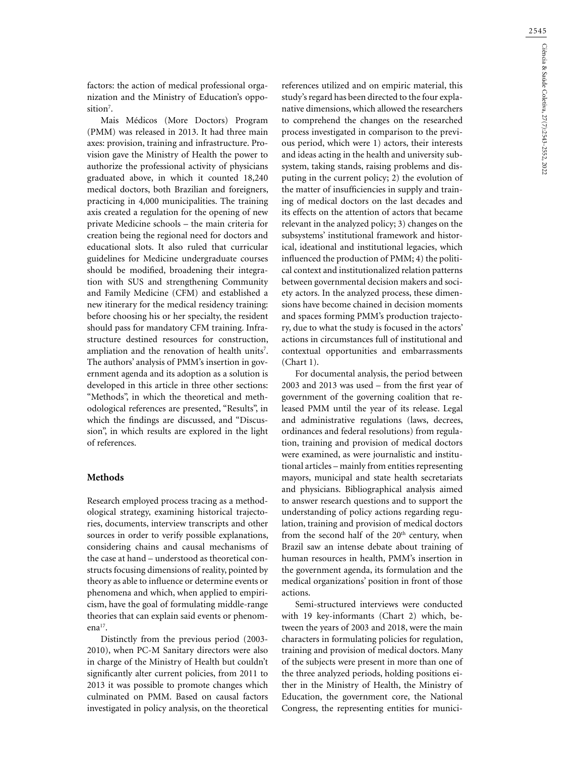factors: the action of medical professional organization and the Ministry of Education's opposition<sup>7</sup>.

Mais Médicos (More Doctors) Program (PMM) was released in 2013. It had three main axes: provision, training and infrastructure. Provision gave the Ministry of Health the power to authorize the professional activity of physicians graduated above, in which it counted 18,240 medical doctors, both Brazilian and foreigners, practicing in 4,000 municipalities. The training axis created a regulation for the opening of new private Medicine schools – the main criteria for creation being the regional need for doctors and educational slots. It also ruled that curricular guidelines for Medicine undergraduate courses should be modified, broadening their integration with SUS and strengthening Community and Family Medicine (CFM) and established a new itinerary for the medical residency training: before choosing his or her specialty, the resident should pass for mandatory CFM training. Infrastructure destined resources for construction, ampliation and the renovation of health units<sup>7</sup>. The authors' analysis of PMM's insertion in government agenda and its adoption as a solution is developed in this article in three other sections: "Methods", in which the theoretical and methodological references are presented, "Results", in which the findings are discussed, and "Discussion", in which results are explored in the light of references.

## **Methods**

Research employed process tracing as a methodological strategy, examining historical trajectories, documents, interview transcripts and other sources in order to verify possible explanations, considering chains and causal mechanisms of the case at hand – understood as theoretical constructs focusing dimensions of reality, pointed by theory as able to influence or determine events or phenomena and which, when applied to empiricism, have the goal of formulating middle-range theories that can explain said events or phenomena $17$ .

Distinctly from the previous period (2003- 2010), when PC-M Sanitary directors were also in charge of the Ministry of Health but couldn't significantly alter current policies, from 2011 to 2013 it was possible to promote changes which culminated on PMM. Based on causal factors investigated in policy analysis, on the theoretical

references utilized and on empiric material, this study's regard has been directed to the four explanative dimensions, which allowed the researchers to comprehend the changes on the researched process investigated in comparison to the previous period, which were 1) actors, their interests and ideas acting in the health and university subsystem, taking stands, raising problems and disputing in the current policy; 2) the evolution of the matter of insufficiencies in supply and training of medical doctors on the last decades and its effects on the attention of actors that became relevant in the analyzed policy; 3) changes on the subsystems' institutional framework and historical, ideational and institutional legacies, which influenced the production of PMM; 4) the political context and institutionalized relation patterns between governmental decision makers and society actors. In the analyzed process, these dimensions have become chained in decision moments and spaces forming PMM's production trajectory, due to what the study is focused in the actors' actions in circumstances full of institutional and contextual opportunities and embarrassments (Chart 1).

For documental analysis, the period between 2003 and 2013 was used – from the first year of government of the governing coalition that released PMM until the year of its release. Legal and administrative regulations (laws, decrees, ordinances and federal resolutions) from regulation, training and provision of medical doctors were examined, as were journalistic and institutional articles – mainly from entities representing mayors, municipal and state health secretariats and physicians. Bibliographical analysis aimed to answer research questions and to support the understanding of policy actions regarding regulation, training and provision of medical doctors from the second half of the  $20<sup>th</sup>$  century, when Brazil saw an intense debate about training of human resources in health, PMM's insertion in the government agenda, its formulation and the medical organizations' position in front of those actions.

Semi-structured interviews were conducted with 19 key-informants (Chart 2) which, between the years of 2003 and 2018, were the main characters in formulating policies for regulation, training and provision of medical doctors. Many of the subjects were present in more than one of the three analyzed periods, holding positions either in the Ministry of Health, the Ministry of Education, the government core, the National Congress, the representing entities for munici-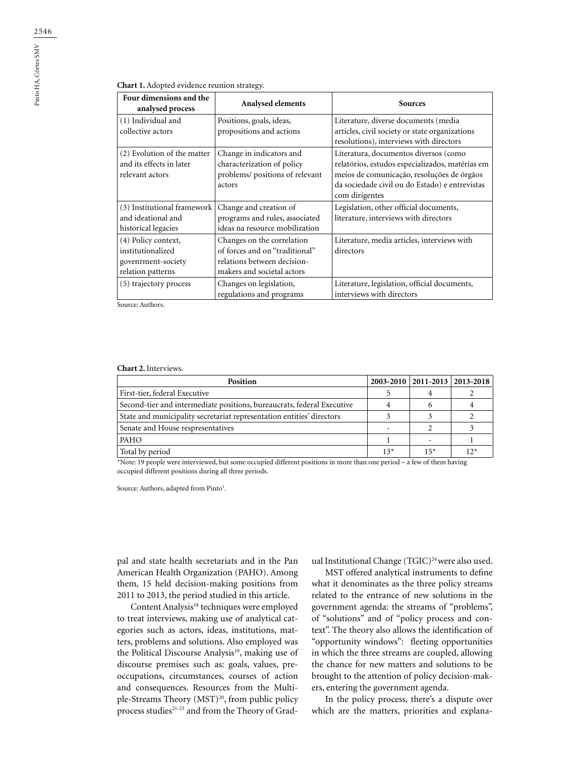### **Chart 1.** Adopted evidence reunion strategy.

| Four dimensions and the<br>analysed process | Analysed elements               | <b>Sources</b>                                                                                |  |  |
|---------------------------------------------|---------------------------------|-----------------------------------------------------------------------------------------------|--|--|
| (1) Individual and                          | Positions, goals, ideas,        | Literature, diverse documents (media                                                          |  |  |
| collective actors                           | propositions and actions        | articles, civil society or state organizations                                                |  |  |
|                                             |                                 | resolutions), interviews with directors                                                       |  |  |
| (2) Evolution of the matter                 | Change in indicators and        | Literatura, documentos diversos (como                                                         |  |  |
| and its effects in later                    | characterization of policy      | relatórios, estudos especializados, matérias em<br>meios de comunicação, resoluções de órgãos |  |  |
| relevant actors                             | problems/ positions of relevant |                                                                                               |  |  |
|                                             | actors                          | da sociedade civil ou do Estado) e entrevistas                                                |  |  |
|                                             |                                 | com dirigentes                                                                                |  |  |
| (3) Institutional framework                 | Change and creation of          | Legislation, other official documents,                                                        |  |  |
| and ideational and                          | programs and rules, associated  | literature, interviews with directors                                                         |  |  |
| historical legacies                         | ideas na resource mobilization  |                                                                                               |  |  |
| (4) Policy context,                         | Changes on the correlation      | Literature, media articles, interviews with                                                   |  |  |
| institutionalized                           | of forces and on "traditional"  | directors                                                                                     |  |  |
| govenrment-society                          | relations between decision-     |                                                                                               |  |  |
| relation patterns                           | makers and societal actors      |                                                                                               |  |  |
| (5) trajectory process                      | Changes on legislation,         | Literature, legislation, official documents,                                                  |  |  |
|                                             | regulations and programs        | interviews with directors                                                                     |  |  |

Source: Authors.

#### **Chart 2.** Interviews.

| <b>Position</b>                                                        |  | 2003-2010   2011-2013   2013-2018 |              |
|------------------------------------------------------------------------|--|-----------------------------------|--------------|
| First-tier, federal Executive                                          |  |                                   |              |
| Second-tier and intermediate positions, bureaucrats, federal Executive |  |                                   |              |
| State and municipality secretariat representation entities' directors  |  |                                   |              |
| Senate and House respresentatives                                      |  |                                   |              |
| PAHO                                                                   |  |                                   |              |
| Total by period                                                        |  | $15*$                             | $12^{\circ}$ |

\*Note: 19 people were interviewed, but some occupied different positions in more than one period – a few of them having occupied different positions during all three periods.

Source: Authors, adapted from Pinto<sup>3</sup>.

pal and state health secretariats and in the Pan American Health Organization (PAHO). Among them, 15 held decision-making positions from 2011 to 2013, the period studied in this article.

Content Analysis<sup>18</sup> techniques were employed to treat interviews, making use of analytical categories such as actors, ideas, institutions, matters, problems and solutions. Also employed was the Political Discourse Analysis<sup>19</sup>, making use of discourse premises such as: goals, values, preoccupations, circumstances, courses of action and consequences. Resources from the Multiple-Streams Theory (MST)<sup>20</sup>, from public policy process studies<sup>21-23</sup> and from the Theory of Gradual Institutional Change (TGIC)<sup>24</sup> were also used.

MST offered analytical instruments to define what it denominates as the three policy streams related to the entrance of new solutions in the government agenda: the streams of "problems", of "solutions" and of "policy process and context". The theory also allows the identification of "opportunity windows": fleeting opportunities in which the three streams are coupled, allowing the chance for new matters and solutions to be brought to the attention of policy decision-makers, entering the government agenda.

In the policy process, there's a dispute over which are the matters, priorities and explana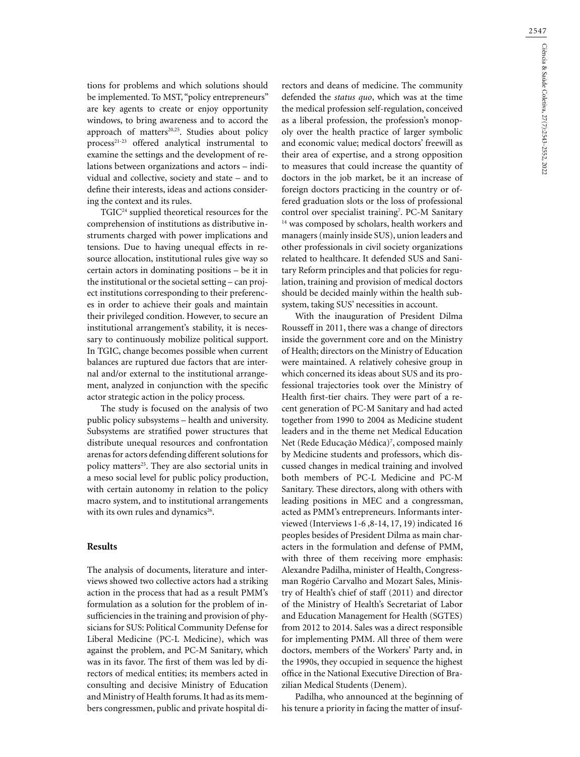tions for problems and which solutions should be implemented. To MST, "policy entrepreneurs" are key agents to create or enjoy opportunity windows, to bring awareness and to accord the approach of matters<sup>20,25</sup>. Studies about policy process21-23 offered analytical instrumental to examine the settings and the development of relations between organizations and actors – individual and collective, society and state – and to define their interests, ideas and actions considering the context and its rules.

TGIC24 supplied theoretical resources for the comprehension of institutions as distributive instruments charged with power implications and tensions. Due to having unequal effects in resource allocation, institutional rules give way so certain actors in dominating positions – be it in the institutional or the societal setting – can project institutions corresponding to their preferences in order to achieve their goals and maintain their privileged condition. However, to secure an institutional arrangement's stability, it is necessary to continuously mobilize political support. In TGIC, change becomes possible when current balances are ruptured due factors that are internal and/or external to the institutional arrangement, analyzed in conjunction with the specific actor strategic action in the policy process.

The study is focused on the analysis of two public policy subsystems – health and university. Subsystems are stratified power structures that distribute unequal resources and confrontation arenas for actors defending different solutions for policy matters<sup>25</sup>. They are also sectorial units in a meso social level for public policy production, with certain autonomy in relation to the policy macro system, and to institutional arrangements with its own rules and dynamics<sup>26</sup>.

### **Results**

The analysis of documents, literature and interviews showed two collective actors had a striking action in the process that had as a result PMM's formulation as a solution for the problem of insufficiencies in the training and provision of physicians for SUS: Political Community Defense for Liberal Medicine (PC-L Medicine), which was against the problem, and PC-M Sanitary, which was in its favor. The first of them was led by directors of medical entities; its members acted in consulting and decisive Ministry of Education and Ministry of Health forums. It had as its members congressmen, public and private hospital di-

rectors and deans of medicine. The community defended the *status quo*, which was at the time the medical profession self-regulation, conceived as a liberal profession, the profession's monopoly over the health practice of larger symbolic and economic value; medical doctors' freewill as their area of expertise, and a strong opposition to measures that could increase the quantity of doctors in the job market, be it an increase of foreign doctors practicing in the country or offered graduation slots or the loss of professional control over specialist training<sup>7</sup>. PC-M Sanitary <sup>14</sup> was composed by scholars, health workers and managers (mainly inside SUS), union leaders and other professionals in civil society organizations related to healthcare. It defended SUS and Sanitary Reform principles and that policies for regulation, training and provision of medical doctors should be decided mainly within the health subsystem, taking SUS' necessities in account.

With the inauguration of President Dilma Rousseff in 2011, there was a change of directors inside the government core and on the Ministry of Health; directors on the Ministry of Education were maintained. A relatively cohesive group in which concerned its ideas about SUS and its professional trajectories took over the Ministry of Health first-tier chairs. They were part of a recent generation of PC-M Sanitary and had acted together from 1990 to 2004 as Medicine student leaders and in the theme net Medical Education Net (Rede Educação Médica)<sup>7</sup>, composed mainly by Medicine students and professors, which discussed changes in medical training and involved both members of PC-L Medicine and PC-M Sanitary. These directors, along with others with leading positions in MEC and a congressman, acted as PMM's entrepreneurs. Informants interviewed (Interviews 1-6 ,8-14, 17, 19) indicated 16 peoples besides of President Dilma as main characters in the formulation and defense of PMM, with three of them receiving more emphasis: Alexandre Padilha, minister of Health, Congressman Rogério Carvalho and Mozart Sales, Ministry of Health's chief of staff (2011) and director of the Ministry of Health's Secretariat of Labor and Education Management for Health (SGTES) from 2012 to 2014. Sales was a direct responsible for implementing PMM. All three of them were doctors, members of the Workers' Party and, in the 1990s, they occupied in sequence the highest office in the National Executive Direction of Brazilian Medical Students (Denem).

Padilha, who announced at the beginning of his tenure a priority in facing the matter of insuf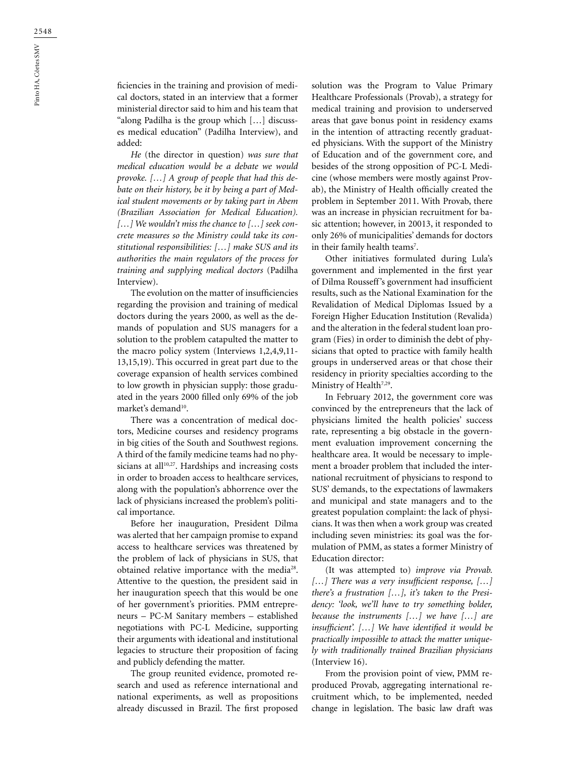ficiencies in the training and provision of medical doctors, stated in an interview that a former ministerial director said to him and his team that "along Padilha is the group which […] discusses medical education" (Padilha Interview), and added:

*He* (the director in question) *was sure that medical education would be a debate we would provoke. […] A group of people that had this debate on their history, be it by being a part of Medical student movements or by taking part in Abem (Brazilian Association for Medical Education). […] We wouldn't miss the chance to […] seek concrete measures so the Ministry could take its constitutional responsibilities: […] make SUS and its authorities the main regulators of the process for training and supplying medical doctors* (Padilha Interview).

The evolution on the matter of insufficiencies regarding the provision and training of medical doctors during the years 2000, as well as the demands of population and SUS managers for a solution to the problem catapulted the matter to the macro policy system (Interviews 1,2,4,9,11- 13,15,19). This occurred in great part due to the coverage expansion of health services combined to low growth in physician supply: those graduated in the years 2000 filled only 69% of the job market's demand<sup>10</sup>.

There was a concentration of medical doctors, Medicine courses and residency programs in big cities of the South and Southwest regions. A third of the family medicine teams had no physicians at all $10,27$ . Hardships and increasing costs in order to broaden access to healthcare services, along with the population's abhorrence over the lack of physicians increased the problem's political importance.

Before her inauguration, President Dilma was alerted that her campaign promise to expand access to healthcare services was threatened by the problem of lack of physicians in SUS, that obtained relative importance with the media<sup>28</sup>. Attentive to the question, the president said in her inauguration speech that this would be one of her government's priorities. PMM entrepreneurs – PC-M Sanitary members – established negotiations with PC-L Medicine, supporting their arguments with ideational and institutional legacies to structure their proposition of facing and publicly defending the matter.

The group reunited evidence, promoted research and used as reference international and national experiments, as well as propositions already discussed in Brazil. The first proposed solution was the Program to Value Primary Healthcare Professionals (Provab), a strategy for medical training and provision to underserved areas that gave bonus point in residency exams in the intention of attracting recently graduated physicians. With the support of the Ministry of Education and of the government core, and besides of the strong opposition of PC-L Medicine (whose members were mostly against Provab), the Ministry of Health officially created the problem in September 2011. With Provab, there was an increase in physician recruitment for basic attention; however, in 20013, it responded to only 26% of municipalities' demands for doctors in their family health teams<sup>7</sup>.

Other initiatives formulated during Lula's government and implemented in the first year of Dilma Rousseff's government had insufficient results, such as the National Examination for the Revalidation of Medical Diplomas Issued by a Foreign Higher Education Institution (Revalida) and the alteration in the federal student loan program (Fies) in order to diminish the debt of physicians that opted to practice with family health groups in underserved areas or that chose their residency in priority specialties according to the Ministry of Health<sup>7,29</sup>.

In February 2012, the government core was convinced by the entrepreneurs that the lack of physicians limited the health policies' success rate, representing a big obstacle in the government evaluation improvement concerning the healthcare area. It would be necessary to implement a broader problem that included the international recruitment of physicians to respond to SUS' demands, to the expectations of lawmakers and municipal and state managers and to the greatest population complaint: the lack of physicians. It was then when a work group was created including seven ministries: its goal was the formulation of PMM, as states a former Ministry of Education director:

(It was attempted to) *improve via Provab. […] There was a very insufficient response, […] there's a frustration […], it's taken to the Presidency: 'look, we'll have to try something bolder, because the instruments […] we have […] are insufficient'. […] We have identified it would be practically impossible to attack the matter uniquely with traditionally trained Brazilian physicians* (Interview 16).

From the provision point of view, PMM reproduced Provab, aggregating international recruitment which, to be implemented, needed change in legislation. The basic law draft was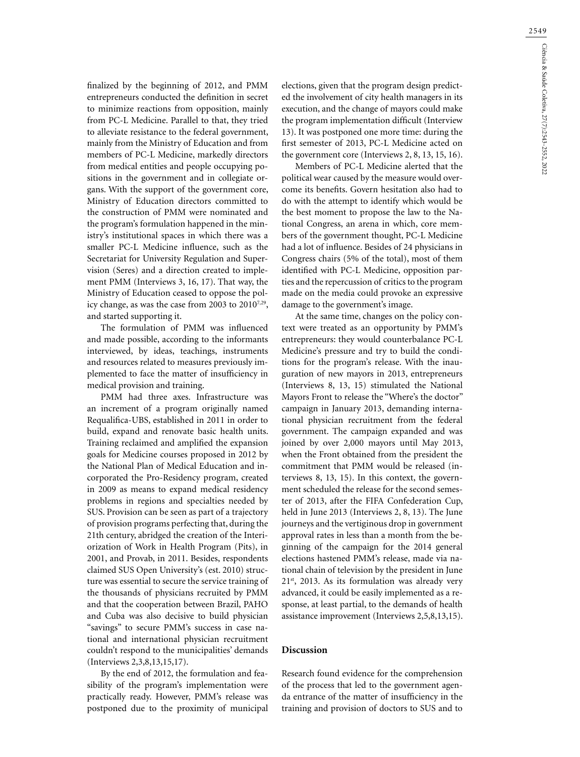finalized by the beginning of 2012, and PMM entrepreneurs conducted the definition in secret to minimize reactions from opposition, mainly from PC-L Medicine. Parallel to that, they tried to alleviate resistance to the federal government, mainly from the Ministry of Education and from members of PC-L Medicine, markedly directors from medical entities and people occupying positions in the government and in collegiate organs. With the support of the government core, Ministry of Education directors committed to the construction of PMM were nominated and the program's formulation happened in the ministry's institutional spaces in which there was a smaller PC-L Medicine influence, such as the Secretariat for University Regulation and Supervision (Seres) and a direction created to implement PMM (Interviews 3, 16, 17). That way, the Ministry of Education ceased to oppose the policy change, as was the case from 2003 to 2010<sup>7,29</sup>, and started supporting it.

The formulation of PMM was influenced and made possible, according to the informants interviewed, by ideas, teachings, instruments and resources related to measures previously implemented to face the matter of insufficiency in medical provision and training.

PMM had three axes. Infrastructure was an increment of a program originally named Requalifica-UBS, established in 2011 in order to build, expand and renovate basic health units. Training reclaimed and amplified the expansion goals for Medicine courses proposed in 2012 by the National Plan of Medical Education and incorporated the Pro-Residency program, created in 2009 as means to expand medical residency problems in regions and specialties needed by SUS. Provision can be seen as part of a trajectory of provision programs perfecting that, during the 21th century, abridged the creation of the Interiorization of Work in Health Program (Pits), in 2001, and Provab, in 2011. Besides, respondents claimed SUS Open University's (est. 2010) structure was essential to secure the service training of the thousands of physicians recruited by PMM and that the cooperation between Brazil, PAHO and Cuba was also decisive to build physician "savings" to secure PMM's success in case national and international physician recruitment couldn't respond to the municipalities' demands (Interviews 2,3,8,13,15,17).

By the end of 2012, the formulation and feasibility of the program's implementation were practically ready. However, PMM's release was postponed due to the proximity of municipal

elections, given that the program design predicted the involvement of city health managers in its execution, and the change of mayors could make the program implementation difficult (Interview 13). It was postponed one more time: during the first semester of 2013, PC-L Medicine acted on the government core (Interviews 2, 8, 13, 15, 16).

Members of PC-L Medicine alerted that the political wear caused by the measure would overcome its benefits. Govern hesitation also had to do with the attempt to identify which would be the best moment to propose the law to the National Congress, an arena in which, core members of the government thought, PC-L Medicine had a lot of influence. Besides of 24 physicians in Congress chairs (5% of the total), most of them identified with PC-L Medicine, opposition parties and the repercussion of critics to the program made on the media could provoke an expressive damage to the government's image.

At the same time, changes on the policy context were treated as an opportunity by PMM's entrepreneurs: they would counterbalance PC-L Medicine's pressure and try to build the conditions for the program's release. With the inauguration of new mayors in 2013, entrepreneurs (Interviews 8, 13, 15) stimulated the National Mayors Front to release the "Where's the doctor" campaign in January 2013, demanding international physician recruitment from the federal government. The campaign expanded and was joined by over 2,000 mayors until May 2013, when the Front obtained from the president the commitment that PMM would be released (interviews 8, 13, 15). In this context, the government scheduled the release for the second semester of 2013, after the FIFA Confederation Cup, held in June 2013 (Interviews 2, 8, 13). The June journeys and the vertiginous drop in government approval rates in less than a month from the beginning of the campaign for the 2014 general elections hastened PMM's release, made via national chain of television by the president in June 21<sup>st</sup>, 2013. As its formulation was already very advanced, it could be easily implemented as a response, at least partial, to the demands of health assistance improvement (Interviews 2,5,8,13,15).

### **Discussion**

Research found evidence for the comprehension of the process that led to the government agenda entrance of the matter of insufficiency in the training and provision of doctors to SUS and to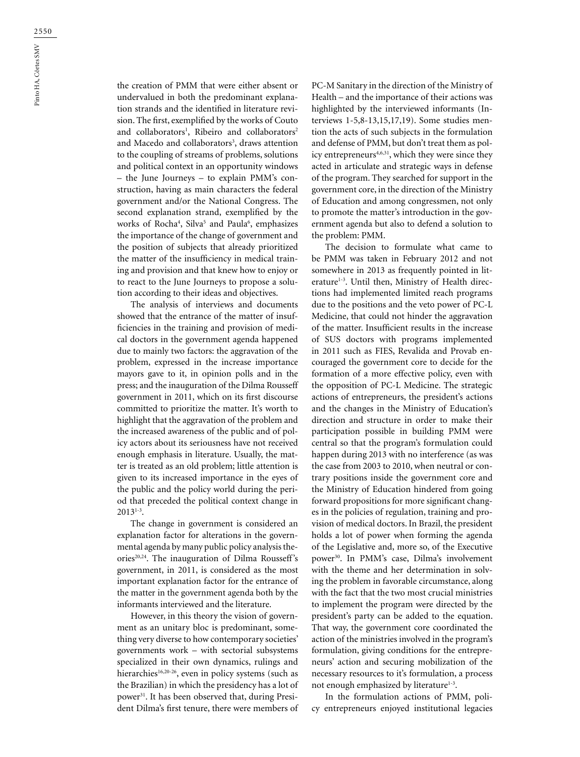the creation of PMM that were either absent or undervalued in both the predominant explanation strands and the identified in literature revision. The first, exemplified by the works of Couto and collaborators<sup>1</sup>, Ribeiro and collaborators<sup>2</sup> and Macedo and collaborators<sup>3</sup>, draws attention to the coupling of streams of problems, solutions and political context in an opportunity windows – the June Journeys – to explain PMM's construction, having as main characters the federal government and/or the National Congress. The second explanation strand, exemplified by the works of Rocha<sup>4</sup>, Silva<sup>5</sup> and Paula<sup>6</sup>, emphasizes the importance of the change of government and the position of subjects that already prioritized the matter of the insufficiency in medical training and provision and that knew how to enjoy or to react to the June Journeys to propose a solution according to their ideas and objectives.

The analysis of interviews and documents showed that the entrance of the matter of insufficiencies in the training and provision of medical doctors in the government agenda happened due to mainly two factors: the aggravation of the problem, expressed in the increase importance mayors gave to it, in opinion polls and in the press; and the inauguration of the Dilma Rousseff government in 2011, which on its first discourse committed to prioritize the matter. It's worth to highlight that the aggravation of the problem and the increased awareness of the public and of policy actors about its seriousness have not received enough emphasis in literature. Usually, the matter is treated as an old problem; little attention is given to its increased importance in the eyes of the public and the policy world during the period that preceded the political context change in  $2013^{1-3}$ .

The change in government is considered an explanation factor for alterations in the governmental agenda by many public policy analysis theories<sup>20,24</sup>. The inauguration of Dilma Rousseff's government, in 2011, is considered as the most important explanation factor for the entrance of the matter in the government agenda both by the informants interviewed and the literature.

However, in this theory the vision of government as an unitary bloc is predominant, something very diverse to how contemporary societies' governments work – with sectorial subsystems specialized in their own dynamics, rulings and hierarchies<sup>16,20-26</sup>, even in policy systems (such as the Brazilian) in which the presidency has a lot of power31. It has been observed that, during President Dilma's first tenure, there were members of

PC-M Sanitary in the direction of the Ministry of Health – and the importance of their actions was highlighted by the interviewed informants (Interviews 1-5,8-13,15,17,19). Some studies mention the acts of such subjects in the formulation and defense of PMM, but don't treat them as policy entrepreneurs<sup>4,6,31</sup>, which they were since they acted in articulate and strategic ways in defense of the program. They searched for support in the government core, in the direction of the Ministry of Education and among congressmen, not only to promote the matter's introduction in the government agenda but also to defend a solution to the problem: PMM.

The decision to formulate what came to be PMM was taken in February 2012 and not somewhere in 2013 as frequently pointed in literature<sup>1-3</sup>. Until then, Ministry of Health directions had implemented limited reach programs due to the positions and the veto power of PC-L Medicine, that could not hinder the aggravation of the matter. Insufficient results in the increase of SUS doctors with programs implemented in 2011 such as FIES, Revalida and Provab encouraged the government core to decide for the formation of a more effective policy, even with the opposition of PC-L Medicine. The strategic actions of entrepreneurs, the president's actions and the changes in the Ministry of Education's direction and structure in order to make their participation possible in building PMM were central so that the program's formulation could happen during 2013 with no interference (as was the case from 2003 to 2010, when neutral or contrary positions inside the government core and the Ministry of Education hindered from going forward propositions for more significant changes in the policies of regulation, training and provision of medical doctors. In Brazil, the president holds a lot of power when forming the agenda of the Legislative and, more so, of the Executive power30. In PMM's case, Dilma's involvement with the theme and her determination in solving the problem in favorable circumstance, along with the fact that the two most crucial ministries to implement the program were directed by the president's party can be added to the equation. That way, the government core coordinated the action of the ministries involved in the program's formulation, giving conditions for the entrepreneurs' action and securing mobilization of the necessary resources to it's formulation, a process not enough emphasized by literature<sup>1-3</sup>.

In the formulation actions of PMM, policy entrepreneurs enjoyed institutional legacies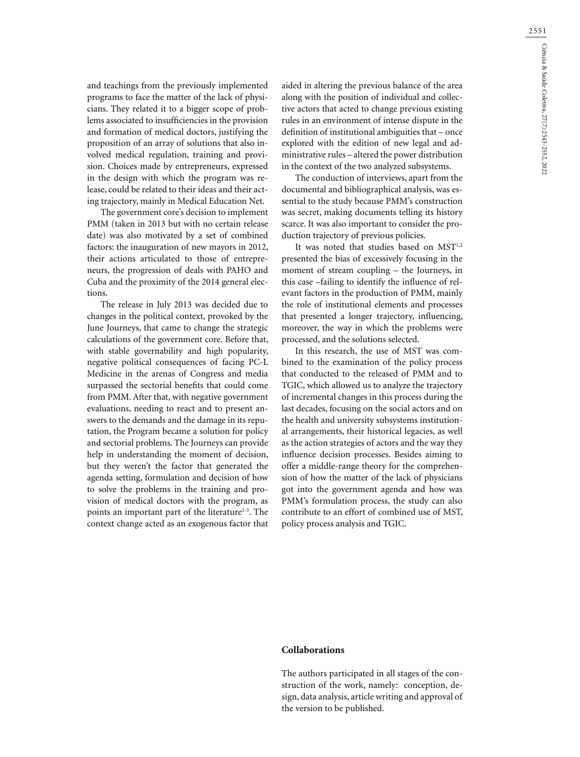and teachings from the previously implemented programs to face the matter of the lack of physicians. They related it to a bigger scope of problems associated to insufficiencies in the provision and formation of medical doctors, justifying the proposition of an array of solutions that also involved medical regulation, training and provision. Choices made by entrepreneurs, expressed in the design with which the program was release, could be related to their ideas and their acting trajectory, mainly in Medical Education Net.

The government core's decision to implement PMM (taken in 2013 but with no certain release date) was also motivated by a set of combined factors: the inauguration of new mayors in 2012, their actions articulated to those of entrepreneurs, the progression of deals with PAHO and Cuba and the proximity of the 2014 general elections.

The release in July 2013 was decided due to changes in the political context, provoked by the June Journeys, that came to change the strategic calculations of the government core. Before that, with stable governability and high popularity, negative political consequences of facing PC-L Medicine in the arenas of Congress and media surpassed the sectorial benefits that could come from PMM. After that, with negative government evaluations, needing to react and to present answers to the demands and the damage in its reputation, the Program became a solution for policy and sectorial problems. The Journeys can provide help in understanding the moment of decision, but they weren't the factor that generated the agenda setting, formulation and decision of how to solve the problems in the training and provision of medical doctors with the program, as points an important part of the literature<sup>1-3</sup>. The context change acted as an exogenous factor that aided in altering the previous balance of the area along with the position of individual and collective actors that acted to change previous existing rules in an environment of intense dispute in the definition of institutional ambiguities that – once explored with the edition of new legal and administrative rules – altered the power distribution in the context of the two analyzed subsystems.

The conduction of interviews, apart from the documental and bibliographical analysis, was essential to the study because PMM's construction was secret, making documents telling its history scarce. It was also important to consider the production trajectory of previous policies.

It was noted that studies based on MST<sup>1,2</sup> presented the bias of excessively focusing in the moment of stream coupling – the Journeys, in this case –failing to identify the influence of relevant factors in the production of PMM, mainly the role of institutional elements and processes that presented a longer trajectory, influencing, moreover, the way in which the problems were processed, and the solutions selected.

In this research, the use of MST was combined to the examination of the policy process that conducted to the released of PMM and to TGIC, which allowed us to analyze the trajectory of incremental changes in this process during the last decades, focusing on the social actors and on the health and university subsystems institutional arrangements, their historical legacies, as well as the action strategies of actors and the way they influence decision processes. Besides aiming to offer a middle-range theory for the comprehension of how the matter of the lack of physicians got into the government agenda and how was PMM's formulation process, the study can also contribute to an effort of combined use of MST, policy process analysis and TGIC.

## **Collaborations**

The authors participated in all stages of the construction of the work, namely: conception, design, data analysis, article writing and approval of the version to be published.